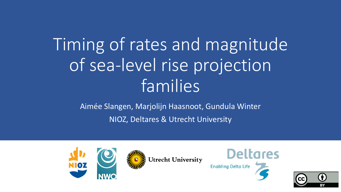# Timing of rates and magnitude of sea-level rise projection families

Aimée Slangen, Marjolijn Haasnoot, Gundula Winter NIOZ, Deltares & Utrecht University





Utrecht University



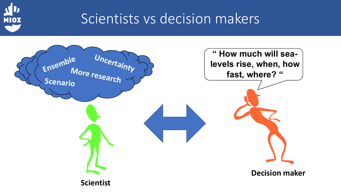

### Scientists vs decision makers

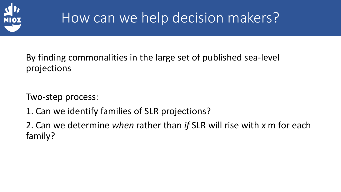

## How can we help decision makers?

By finding commonalities in the large set of published sea-level projections

Two-step process:

1. Can we identify families of SLR projections?

2. Can we determine *when* rather than *if* SLR will rise with *x* m for each family?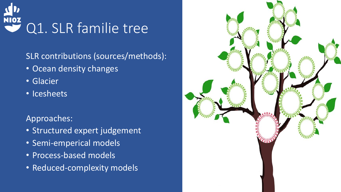

SLR contributions (sources/methods):

- Ocean density changes
- Glacier
- Icesheets

Approaches:

- Structured expert judgement
- Semi-emperical models
- Process-based models
- Reduced-complexity models

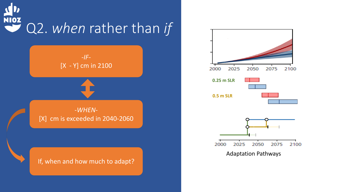# NIOZ Q2. *when* rather than *if*



#### If, when and how much to adapt?